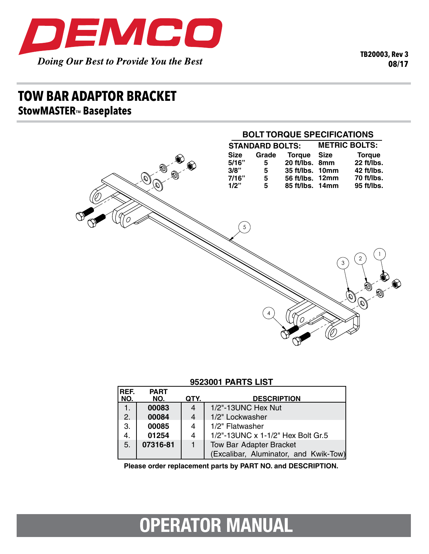

**TB20003, Rev 3 08/17**

## **tow bar adaptor bracket StowMASTERTM Baseplates**



### **9523001 parts list**

| <u> 888888888888888888888888888</u> |                    |      |                                       |
|-------------------------------------|--------------------|------|---------------------------------------|
| REF.<br>NO.                         | <b>PART</b><br>NO. | QTY. | <b>DESCRIPTION</b>                    |
| 1.                                  | 00083              | 4    | 1/2"-13UNC Hex Nut                    |
| 2.                                  | 00084              | 4    | 1/2" Lockwasher                       |
| 3.                                  | 00085              | 4    | 1/2" Flatwasher                       |
| 4.                                  | 01254              | 4    | 1/2"-13UNC x 1-1/2" Hex Bolt Gr.5     |
| 5.                                  | 07316-81           |      | <b>Tow Bar Adapter Bracket</b>        |
|                                     |                    |      | (Excalibar, Aluminator, and Kwik-Tow) |

Please order replacement parts by PART NO. and DESCRIPTION.

# **OPERATOR MANUAL**